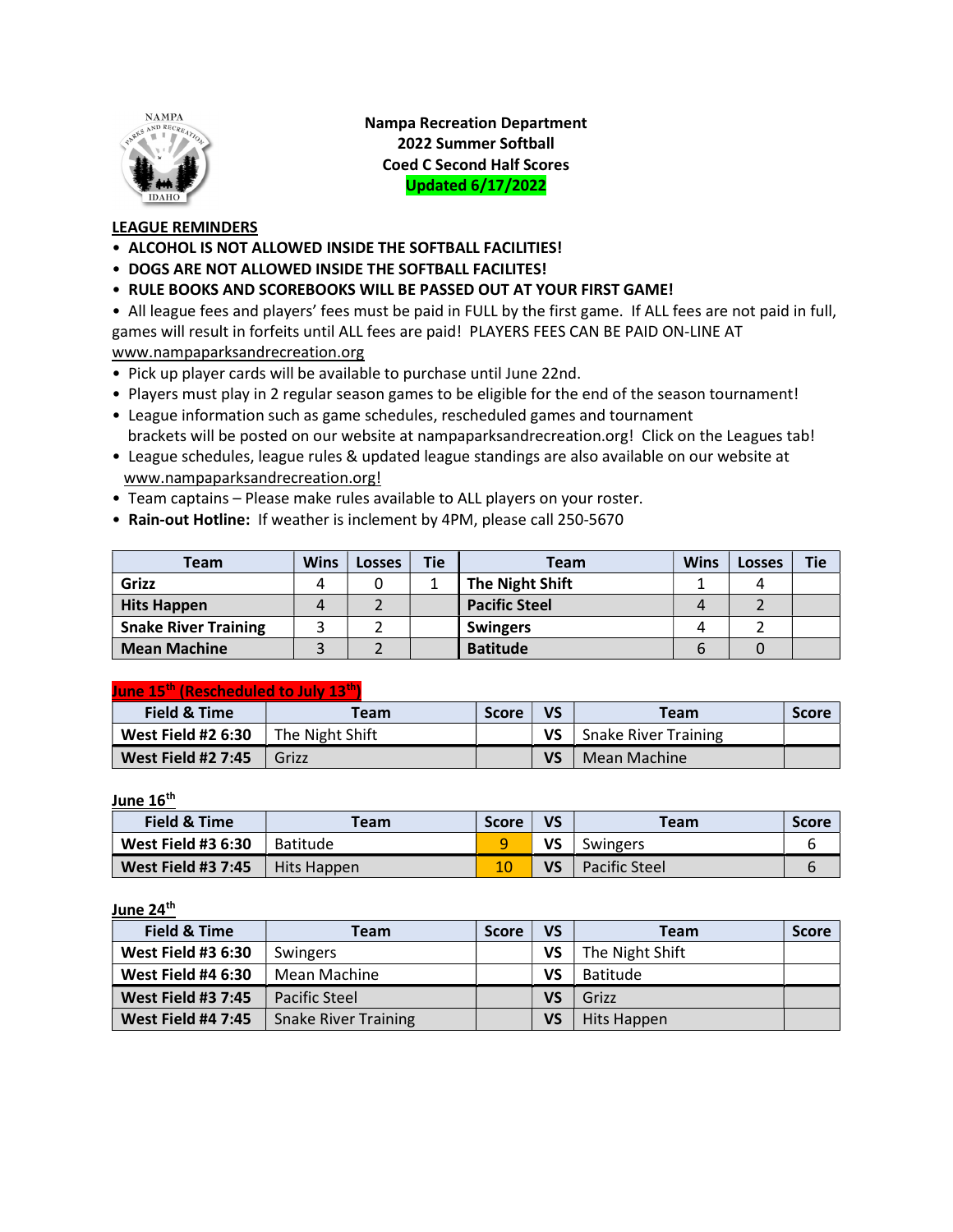

Nampa Recreation Department 2022 Summer Softball Coed C Second Half Scores Updated 6/17/2022

## LEAGUE REMINDERS

- ALCOHOL IS NOT ALLOWED INSIDE THE SOFTBALL FACILITIES!
- DOGS ARE NOT ALLOWED INSIDE THE SOFTBALL FACILITES!
- RULE BOOKS AND SCOREBOOKS WILL BE PASSED OUT AT YOUR FIRST GAME!

• All league fees and players' fees must be paid in FULL by the first game. If ALL fees are not paid in full, games will result in forfeits until ALL fees are paid! PLAYERS FEES CAN BE PAID ON-LINE AT www.nampaparksandrecreation.org

- Pick up player cards will be available to purchase until June 22nd.
- Players must play in 2 regular season games to be eligible for the end of the season tournament!
- League information such as game schedules, rescheduled games and tournament brackets will be posted on our website at nampaparksandrecreation.org! Click on the Leagues tab!
- League schedules, league rules & updated league standings are also available on our website at www.nampaparksandrecreation.org!
- Team captains Please make rules available to ALL players on your roster.
- Rain-out Hotline: If weather is inclement by 4PM, please call 250-5670

| Team                        | <b>Wins</b> | Losses | Tie | Team                   | <b>Wins</b> | Losses | Tie |
|-----------------------------|-------------|--------|-----|------------------------|-------------|--------|-----|
| Grizz                       | 4           |        |     | <b>The Night Shift</b> |             |        |     |
| <b>Hits Happen</b>          | 4           |        |     | <b>Pacific Steel</b>   |             |        |     |
| <b>Snake River Training</b> |             |        |     | <b>Swingers</b>        |             |        |     |
| <b>Mean Machine</b>         |             |        |     | <b>Batitude</b>        | h           |        |     |

### June 15th (Rescheduled to July 13th)

| Field & Time              | Team            | <b>Score</b> | VS | <b>Team</b>                 | <b>Score</b> |
|---------------------------|-----------------|--------------|----|-----------------------------|--------------|
| <b>West Field #2 6:30</b> | The Night Shift |              | VS | <b>Snake River Training</b> |              |
| <b>West Field #2 7:45</b> | Grizz           |              | VS | Mean Machine                |              |

June 16<sup>th</sup>

| Field & Time              | Team            | <b>Score</b> | VS | <b>Team</b>          | <b>Score</b> |
|---------------------------|-----------------|--------------|----|----------------------|--------------|
| <b>West Field #3 6:30</b> | <b>Batitude</b> |              | VS | Swingers             |              |
| <b>West Field #3 7:45</b> | Hits Happen     |              | VS | <b>Pacific Steel</b> |              |

June 24<sup>th</sup>

| Field & Time              | Team                        | <b>Score</b> | VS        | <b>Team</b>     | <b>Score</b> |
|---------------------------|-----------------------------|--------------|-----------|-----------------|--------------|
| <b>West Field #3 6:30</b> | Swingers                    |              | VS        | The Night Shift |              |
| <b>West Field #4 6:30</b> | Mean Machine                |              | <b>VS</b> | <b>Batitude</b> |              |
| <b>West Field #3 7:45</b> | Pacific Steel               |              | VS        | Grizz           |              |
| <b>West Field #4 7:45</b> | <b>Snake River Training</b> |              | VS        | Hits Happen     |              |